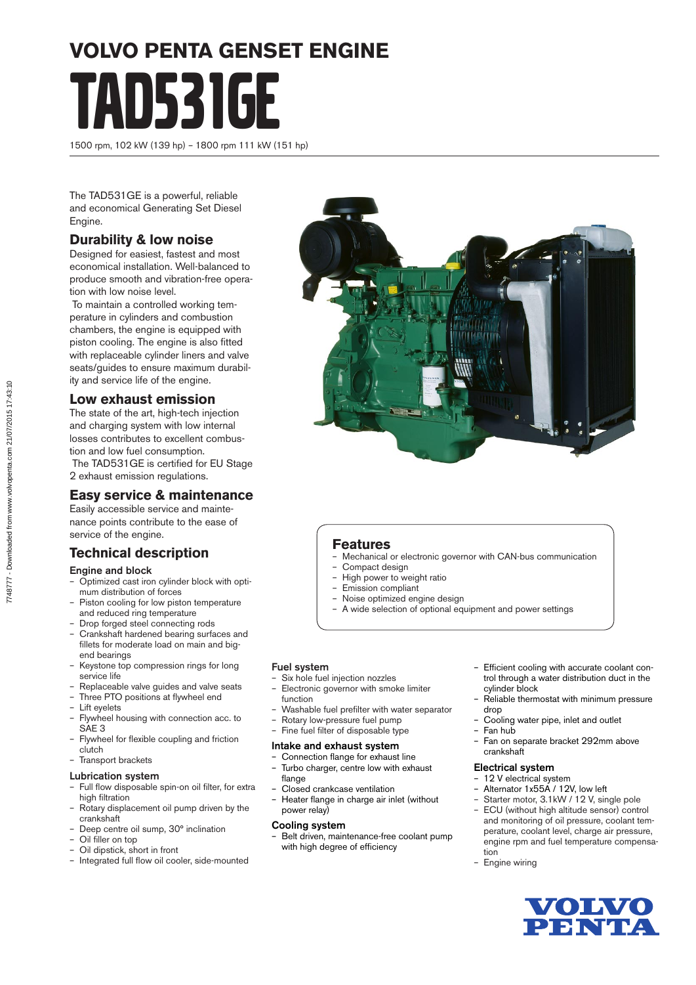# **VOLVO PENTA GENSET ENGINE** TAD531GE

1500 rpm, 102 kW (139 hp) – 1800 rpm 111 kW (151 hp)

The TAD531GE is a powerful, reliable and economical Generating Set Diesel Engine.

## **Durability & low noise**

Designed for easiest, fastest and most economical installation. Well-balanced to produce smooth and vibration-free operation with low noise level.

 To maintain a controlled working temperature in cylinders and combustion chambers, the engine is equipped with piston cooling. The engine is also fitted with replaceable cylinder liners and valve seats/guides to ensure maximum durability and service life of the engine.

#### **Low exhaust emission**

The state of the art, high-tech injection and charging system with low internal losses contributes to excellent combustion and low fuel consumption. The TAD531GE is certified for EU Stage 2 exhaust emission regulations.

# **Easy service & maintenance**

Easily accessible service and maintenance points contribute to the ease of service of the engine.

# **Technical description**

#### Engine and block

- Optimized cast iron cylinder block with optimum distribution of forces
- Piston cooling for low piston temperature and reduced ring temperature
- Drop forged steel connecting rods
- Crankshaft hardened bearing surfaces and fillets for moderate load on main and bigend bearings
- Keystone top compression rings for long service life
- Replaceable valve guides and valve seats
- Three PTO positions at flywheel end
- Lift eyelets
- Flywheel housing with connection acc. to SAE<sub>3</sub>
- Flywheel for flexible coupling and friction clutch
- Transport brackets
- Lubrication system
- Full flow disposable spin-on oil filter, for extra high filtration
- Rotary displacement oil pump driven by the crankshaft
- Deep centre oil sump, 30° inclination
- Oil filler on top – Oil dipstick, short in front
- Integrated full flow oil cooler, side-mounted



### **Features**

- Mechanical or electronic governor with CAN-bus communication
- Compact design
- High power to weight ratio
- Emission compliant
- Noise optimized engine design
- A wide selection of optional equipment and power settings

#### Fuel system

- Six hole fuel injection nozzles
- Electronic governor with smoke limiter function
- Washable fuel prefilter with water separator
- Rotary low-pressure fuel pump
- Fine fuel filter of disposable type

#### Intake and exhaust system

- Connection flange for exhaust line – Turbo charger, centre low with exhaust
- flange
- Closed crankcase ventilation
- Heater flange in charge air inlet (without power relay)

#### Cooling system

– Belt driven, maintenance-free coolant pump with high degree of efficiency

- Efficient cooling with accurate coolant control through a water distribution duct in the cylinder block
- Reliable thermostat with minimum pressure drop
- Cooling water pipe, inlet and outlet
- Fan hub
	- Fan on separate bracket 292mm above crankshaft

#### Electrical system

- 12 V electrical system
- Alternator 1x55A / 12V, low left
- Starter motor, 3.1kW / 12 V, single pole – ECU (without high altitude sensor) control
- and monitoring of oil pressure, coolant temperature, coolant level, charge air pressure, engine rpm and fuel temperature compensation
- Engine wiring